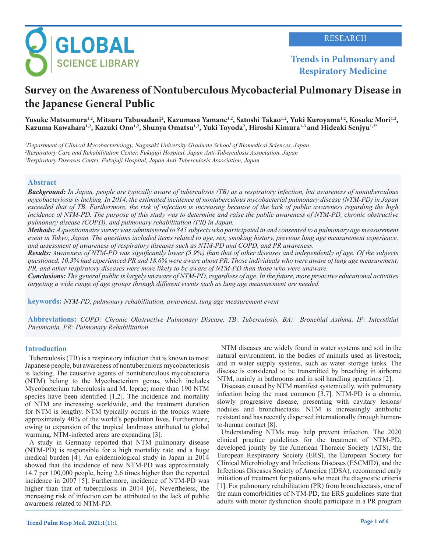

**Trends in Pulmonary and Respiratory Medicine**

# **Survey on the Awareness of Nontuberculous Mycobacterial Pulmonary Disease in the Japanese General Public**

Yusuke Matsumura<sup>1,2</sup>, Mitsuru Tabusadani<sup>2</sup>, Kazumasa Yamane<sup>1,2</sup>, Satoshi Takao<sup>1,2</sup>, Yuki Kuroyama<sup>1,2</sup>, Kosuke Mori<sup>1,2</sup>,<br>Kazuma Kawahara<sup>1,2</sup>, Kazuki Ono<sup>1,2</sup>, Shunya Omatsu<sup>1,2</sup>, Yuki Toyoda<sup>2</sup>, Hiroshi Kimura<sup>1-3</sup> a Kazuma Kawahara<sup>1,2</sup>, Kazuki Ono<sup>1,2</sup>, Shunya Omatsu<sup>1,2</sup>, Yuki Toyoda<sup>2</sup>, Hiroshi Kimura<sup>1,3</sup> and Hideaki Senjyu<sup>1,2\*</sup>

*1 Department of Clinical Mycobacteriology, Nagasaki University Graduate School of Biomedical Sciences, Japan 2 Respiratory Care and Rehabilitation Center, Fukujuji Hospital, Japan Anti-Tuberculosis Association, Japan 3 Respiratory Diseases Center, Fukujuji Hospital, Japan Anti-Tuberculosis Association, Japan*

## **Abstract**

*Background: In Japan, people are typically aware of tuberculosis (TB) as a respiratory infection, but awareness of nontuberculous mycobacteriosis is lacking. In 2014, the estimated incidence of nontuberculous mycobacterial pulmonary disease (NTM-PD) in Japan exceeded that of TB. Furthermore, the risk of infection is increasing because of the lack of public awareness regarding the high incidence of NTM-PD. The purpose of this study was to determine and raise the public awareness of NTM-PD, chronic obstructive pulmonary disease (COPD), and pulmonary rehabilitation (PR) in Japan.*

*Methods: A questionnaire survey was administered to 845 subjects who participated in and consented to a pulmonary age measurement event in Tokyo, Japan. The questions included items related to age, sex, smoking history, previous lung age measurement experience, and assessment of awareness of respiratory diseases such as NTM-PD and COPD, and PR awareness.*

*Results: Awareness of NTM-PD was significantly lower (5.9%) than that of other diseases and independently of age. Of the subjects questioned, 10.3% had experienced PR and 18.6% were aware about PR. Those individuals who were aware of lung age measurement, PR, and other respiratory diseases were more likely to be aware of NTM-PD than those who were unaware.*

*Conclusions: The general public is largely unaware of NTM-PD, regardless of age. In the future, more proactive educational activities targeting a wide range of age groups through different events such as lung age measurement are needed.*

**keywords:** *NTM-PD, pulmonary rehabilitation, awareness, lung age measurement event*

**Abbreviations:** *COPD: Chronic Obstructive Pulmonary Disease, TB: Tuberculosis, BA: Bronchial Asthma, IP: Interstitial Pneumonia, PR: Pulmonary Rehabilitation* 

## **Introduction**

Tuberculosis (TB) is a respiratory infection that is known to most Japanese people, but awareness of nontuberculous mycobacteriosis is lacking. The causative agents of nontuberculous mycobacteria (NTM) belong to the Mycobacterium genus, which includes Mycobacterium tuberculosis and M. leprae; more than 190 NTM species have been identified [1,2]. The incidence and mortality of NTM are increasing worldwide, and the treatment duration for NTM is lengthy. NTM typically occurs in the tropics where approximately 40% of the world's population lives. Furthermore, owing to expansion of the tropical landmass attributed to global warming, NTM-infected areas are expanding [3].

A study in Germany reported that NTM pulmonary disease (NTM-PD) is responsible for a high mortality rate and a huge medical burden [4]. An epidemiological study in Japan in 2014 showed that the incidence of new NTM-PD was approximately 14.7 per 100,000 people, being 2.6 times higher than the reported incidence in 2007 [5]. Furthermore, incidence of NTM-PD was higher than that of tuberculosis in 2014 [6]. Nevertheless, the increasing risk of infection can be attributed to the lack of public awareness related to NTM-PD.

NTM diseases are widely found in water systems and soil in the natural environment, in the bodies of animals used as livestock, and in water supply systems, such as water storage tanks. The disease is considered to be transmitted by breathing in airborne NTM, mainly in bathrooms and in soil handling operations [2].

Diseases caused by NTM manifest systemically, with pulmonary infection being the most common [3,7]. NTM-PD is a chronic, slowly progressive disease, presenting with cavitary lesions/ nodules and bronchiectasis. NTM is increasingly antibiotic resistant and has recently dispersed internationally through humanto-human contact [8].

Understanding NTMs may help prevent infection. The 2020 clinical practice guidelines for the treatment of NTM-PD, developed jointly by the American Thoracic Society (ATS), the European Respiratory Society (ERS), the European Society for Clinical Microbiology and Infectious Diseases (ESCMID), and the Infectious Diseases Society of America (IDSA), recommend early initiation of treatment for patients who meet the diagnostic criteria [1]. For pulmonary rehabilitation (PR) from bronchiectasis, one of the main comorbidities of NTM-PD, the ERS guidelines state that adults with motor dysfunction should participate in a PR program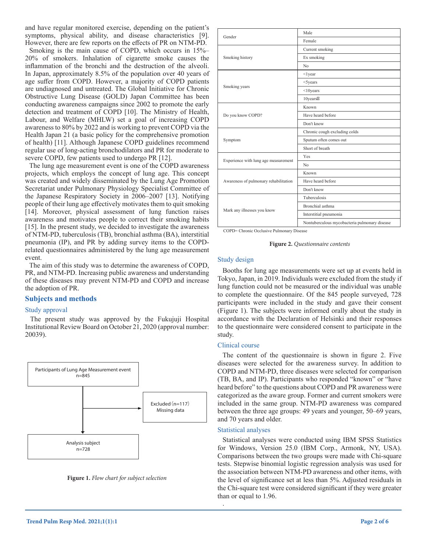and have regular monitored exercise, depending on the patient's symptoms, physical ability, and disease characteristics [9]. However, there are few reports on the effects of PR on NTM-PD.

Smoking is the main cause of COPD, which occurs in 15%– 20% of smokers. Inhalation of cigarette smoke causes the inflammation of the bronchi and the destruction of the alveoli. In Japan, approximately 8.5% of the population over 40 years of age suffer from COPD. However, a majority of COPD patients are undiagnosed and untreated. The Global Initiative for Chronic Obstructive Lung Disease (GOLD) Japan Committee has been conducting awareness campaigns since 2002 to promote the early detection and treatment of COPD [10]. The Ministry of Health, Labour, and Welfare (MHLW) set a goal of increasing COPD awareness to 80% by 2022 and is working to prevent COPD via the Health Japan 21 (a basic policy for the comprehensive promotion of health) [11]. Although Japanese COPD guidelines recommend regular use of long-acting bronchodilators and PR for moderate to severe COPD, few patients used to undergo PR [12].

The lung age measurement event is one of the COPD awareness projects, which employs the concept of lung age. This concept was created and widely disseminated by the Lung Age Promotion Secretariat under Pulmonary Physiology Specialist Committee of the Japanese Respiratory Society in 2006–2007 [13]. Notifying people of their lung age effectively motivates them to quit smoking [14]. Moreover, physical assessment of lung function raises awareness and motivates people to correct their smoking habits [15]. In the present study, we decided to investigate the awareness of NTM-PD, tuberculosis (TB), bronchial asthma (BA), interstitial pneumonia (IP), and PR by adding survey items to the COPDrelated questionnaires administered by the lung age measurement event.

The aim of this study was to determine the awareness of COPD, PR, and NTM-PD. Increasing public awareness and understanding of these diseases may prevent NTM-PD and COPD and increase the adoption of PR.

## **Subjects and methods**

## Study approval

The present study was approved by the Fukujuji Hospital Institutional Review Board on October 21, 2020 (approval number: 20039).





|                                       | Male                                          |  |  |  |  |
|---------------------------------------|-----------------------------------------------|--|--|--|--|
| Gender                                | Female                                        |  |  |  |  |
|                                       | Current smoking                               |  |  |  |  |
| Smoking history                       | Ex smoking                                    |  |  |  |  |
|                                       | No                                            |  |  |  |  |
|                                       | $<$ lyear                                     |  |  |  |  |
|                                       | $<$ 5years                                    |  |  |  |  |
| Smoking years                         | $<$ 10 $years$                                |  |  |  |  |
|                                       | 10years                                       |  |  |  |  |
|                                       | Known                                         |  |  |  |  |
| Do you know COPD?                     | Have heard before                             |  |  |  |  |
|                                       | Don't know                                    |  |  |  |  |
|                                       | Chronic cough excluding colds                 |  |  |  |  |
| Symptom                               | Sputum often comes out                        |  |  |  |  |
|                                       | Short of breath                               |  |  |  |  |
|                                       | <b>Yes</b>                                    |  |  |  |  |
| Experience with lung age measurement  | No                                            |  |  |  |  |
|                                       | Known                                         |  |  |  |  |
| Awareness of pulmonary rehabilitation | Have heard before                             |  |  |  |  |
|                                       | Don't know                                    |  |  |  |  |
|                                       | <b>Tuberculosis</b>                           |  |  |  |  |
| Mark any illnesses you know           | Bronchial asthma                              |  |  |  |  |
|                                       | Interstitial pneumonia                        |  |  |  |  |
|                                       | Nontuberculous mycobacteria pulmonary disease |  |  |  |  |

COPD= Chronic Occlusive Pulmonary Disease



#### Study design

Booths for lung age measurements were set up at events held in Tokyo, Japan, in 2019. Individuals were excluded from the study if lung function could not be measured or the individual was unable to complete the questionnaire. Of the 845 people surveyed, 728 participants were included in the study and gave their consent (Figure 1). The subjects were informed orally about the study in accordance with the Declaration of Helsinki and their responses to the questionnaire were considered consent to participate in the study.

#### Clinical course

The content of the questionnaire is shown in figure 2. Five diseases were selected for the awareness survey. In addition to COPD and NTM-PD, three diseases were selected for comparison (TB, BA, and IP). Participants who responded "known" or "have heard before" to the questions about COPD and PR awareness were categorized as the aware group. Former and current smokers were included in the same group. NTM-PD awareness was compared between the three age groups: 49 years and younger, 50–69 years, and 70 years and older.

#### Statistical analyses

.

Statistical analyses were conducted using IBM SPSS Statistics for Windows, Version 25.0 (IBM Corp., Armonk, NY, USA). Comparisons between the two groups were made with Chi-square tests. Stepwise binomial logistic regression analysis was used for the association between NTM-PD awareness and other items, with the level of significance set at less than 5%. Adjusted residuals in the Chi-square test were considered significant if they were greater than or equal to 1.96.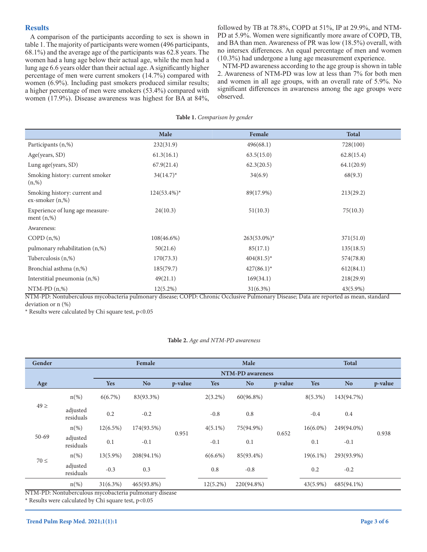## **Results**

A comparison of the participants according to sex is shown in table 1. The majority of participants were women (496 participants, 68.1%) and the average age of the participants was 62.8 years. The women had a lung age below their actual age, while the men had a lung age 6.6 years older than their actual age. A significantly higher percentage of men were current smokers (14.7%) compared with women (6.9%). Including past smokers produced similar results; a higher percentage of men were smokers (53.4%) compared with women (17.9%). Disease awareness was highest for BA at 84%,

followed by TB at 78.8%, COPD at 51%, IP at 29.9%, and NTM-PD at 5.9%. Women were significantly more aware of COPD, TB, and BA than men. Awareness of PR was low (18.5%) overall, with no intersex differences. An equal percentage of men and women (10.3%) had undergone a lung age measurement experience.

NTM-PD awareness according to the age group is shown in table 2. Awareness of NTM-PD was low at less than 7% for both men and women in all age groups, with an overall rate of 5.9%. No significant differences in awareness among the age groups were observed.

#### **Table 1.** *Comparison by gender*

|                                                          | Male           | Female         | <b>Total</b> |
|----------------------------------------------------------|----------------|----------------|--------------|
|                                                          |                |                |              |
| Participants (n,%)                                       | 232(31.9)      | 496(68.1)      | 728(100)     |
| Age(years, SD)                                           | 61.3(16.1)     | 63.5(15.0)     | 62.8(15.4)   |
| Lung age(years, SD)                                      | 67.9(21.4)     | 62.3(20.5)     | 64.1(20.9)   |
| Smoking history: current smoker<br>(n, %)                | $34(14.7)^*$   | 34(6.9)        | 68(9.3)      |
| Smoking history: current and<br>$ex\text{-}smoker(n,\%)$ | $124(53.4\%)*$ | 89(17.9%)      | 213(29.2)    |
| Experience of lung age measure-<br>ment $(n, %)$         | 24(10.3)       | 51(10.3)       | 75(10.3)     |
| Awareness:                                               |                |                |              |
| $COPD(n,\%)$                                             | $108(46.6\%)$  | $263(53.0\%)*$ | 371(51.0)    |
| pulmonary rehabilitation (n,%)                           | 50(21.6)       | 85(17.1)       | 135(18.5)    |
| Tuberculosis (n,%)                                       | 170(73.3)      | $404(81.5)^*$  | 574(78.8)    |
| Bronchial asthma (n,%)                                   | 185(79.7)      | $427(86.1)^*$  | 612(84.1)    |
| Interstitial pneumonia (n,%)                             | 49(21.1)       | 169(34.1)      | 218(29.9)    |
| $NTM-PD(n,\%)$                                           | $12(5.2\%)$    | $31(6.3\%)$    | 43(5.9%)     |

NTM-PD: Nontuberculous mycobacteria pulmonary disease; COPD: Chronic Occlusive Pulmonary Disease; Data are reported as mean, standard deviation or n (%)

\* Results were calculated by Chi square test, p<0.05

#### **Table 2.** *Age and NTM-PD awareness*

| Gender                                                |                       | Female      |                  |         | Male        |            |         | <b>Total</b> |                |         |
|-------------------------------------------------------|-----------------------|-------------|------------------|---------|-------------|------------|---------|--------------|----------------|---------|
|                                                       |                       |             | NTM-PD awareness |         |             |            |         |              |                |         |
| Age                                                   |                       | <b>Yes</b>  | <b>No</b>        | p-value | <b>Yes</b>  | <b>No</b>  | p-value | <b>Yes</b>   | N <sub>o</sub> | p-value |
|                                                       | $n$ (%)               | 6(6.7%)     | 83(93.3%)        |         | $2(3.2\%)$  | 60(96.8%)  |         | $8(5.3\%)$   | 143(94.7%)     |         |
| $49 \geq$                                             | adjusted<br>residuals | 0.2         | $-0.2$           |         | $-0.8$      | 0.8        |         | $-0.4$       | $0.4\,$        |         |
|                                                       | $n$ (%)               | $12(6.5\%)$ | 174(93.5%)       | 0.951   | $4(5.1\%)$  | 75(94.9%)  |         | $16(6.0\%)$  | 249(94.0%)     | 0.938   |
| $50 - 69$                                             | adjusted<br>residuals | 0.1         | $-0.1$           |         | $-0.1$      | 0.1        | 0.652   | 0.1          | $-0.1$         |         |
|                                                       | $n(\%)$               | $13(5.9\%)$ | 208(94.1%)       |         | $6(6.6\%)$  | 85(93.4%)  |         | $19(6.1\%)$  | 293(93.9%)     |         |
| $70 \leq$                                             | adjusted<br>residuals | $-0.3$      | 0.3              |         | 0.8         | $-0.8$     |         | 0.2          | $-0.2$         |         |
|                                                       | $n$ (%)               | $31(6.3\%)$ | 465(93.8%)       |         | $12(5.2\%)$ | 220(94.8%) |         | $43(5.9\%)$  | 685(94.1%)     |         |
| NTM-PD: Nontuberculous mycobacteria pulmonary disease |                       |             |                  |         |             |            |         |              |                |         |

\* Results were calculated by Chi square test, p<0.05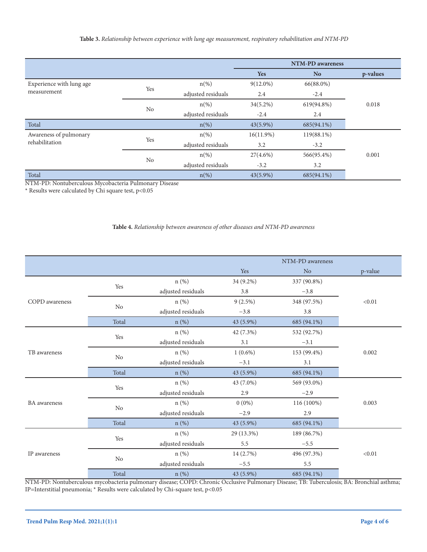|                          |                |                    | NTM-PD awareness |                |          |
|--------------------------|----------------|--------------------|------------------|----------------|----------|
|                          |                |                    | <b>Yes</b>       | N <sub>o</sub> | p-values |
| Experience with lung age |                | $n(\%)$            | $9(12.0\%)$      | 66(88.0%)      |          |
| measurement              | Yes            | adjusted residuals | 2.4              | $-2.4$         |          |
|                          |                | $n(\%)$            | $34(5.2\%)$      | 619(94.8%)     | 0.018    |
|                          | N <sub>o</sub> | adjusted residuals | $-2.4$           | 2.4            |          |
| Total                    |                | $n(\%)$            | $43(5.9\%)$      | 685(94.1%)     |          |
| Awareness of pulmonary   | Yes            | $n(\%)$            | $16(11.9\%)$     | $119(88.1\%)$  |          |
| rehabilitation           |                | adjusted residuals | 3.2              | $-3.2$         |          |
|                          |                | $n(\%)$            | $27(4.6\%)$      | 566(95.4%)     | 0.001    |
|                          | N <sub>o</sub> | adjusted residuals | $-3.2$           | 3.2            |          |
| Total                    |                | $n(\%)$            | $43(5.9\%)$      | 685(94.1%)     |          |

NTM-PD: Nontuberculous Mycobacteria Pulmonary Disease

 $^{\star}$  Results were calculated by Chi square test, p<0.05

## **Table 4.** *Relationship between awareness of other diseases and NTM-PD awareness*

|                |                      |                    |            | NTM-PD awareness |         |
|----------------|----------------------|--------------------|------------|------------------|---------|
|                |                      |                    | Yes        | N <sub>o</sub>   | p-value |
|                |                      | $n$ (%)            | 34 (9.2%)  | 337 (90.8%)      |         |
|                | Yes                  | adjusted residuals | 3.8        | $-3.8$           |         |
| COPD awareness | No                   | $n$ $(\%)$         | $9(2.5\%)$ | 348 (97.5%)      | < 0.01  |
|                |                      | adjusted residuals | $-3.8$     | 3.8              |         |
|                | Total                | $n$ (%)            | 43 (5.9%)  | 685 (94.1%)      |         |
|                |                      | $n$ (%)            | 42 (7.3%)  | 532 (92.7%)      |         |
|                | Yes                  | adjusted residuals | 3.1        | $-3.1$           |         |
| TB awareness   | N <sub>o</sub>       | $n$ (%)            | $1(0.6\%)$ | 153 (99.4%)      | 0.002   |
|                |                      | adjusted residuals | $-3.1$     | 3.1              |         |
|                | Total                | $n$ (%)            | 43 (5.9%)  | 685 (94.1%)      |         |
|                |                      | $n$ (%)            | 43 (7.0%)  | 569 (93.0%)      |         |
|                | Yes                  | adjusted residuals | 2.9        | $-2.9$           |         |
| BA awareness   | No                   | $n$ (%)            | $0(0\%)$   | 116 (100%)       | 0.003   |
|                |                      | adjusted residuals | $-2.9$     | 2.9              |         |
|                | Total                | $n$ (%)            | 43 (5.9%)  | 685 (94.1%)      |         |
| IP awareness   |                      | $n$ $(\%)$         | 29 (13.3%) | 189 (86.7%)      |         |
|                | $\operatorname{Yes}$ | adjusted residuals | 5.5        | $-5.5$           |         |
|                | N <sub>o</sub>       | $n$ (%)            | 14 (2.7%)  | 496 (97.3%)      | < 0.01  |
|                |                      | adjusted residuals | $-5.5$     | 5.5              |         |
|                | Total                | $n$ (%)            | 43 (5.9%)  | 685 (94.1%)      |         |

NTM-PD: Nontuberculous mycobacteria pulmonary disease; COPD: Chronic Occlusive Pulmonary Disease; TB: Tuberculosis; BA: Bronchial asthma; IP=Interstitial pneumonia; \* Results were calculated by Chi-square test, p<0.05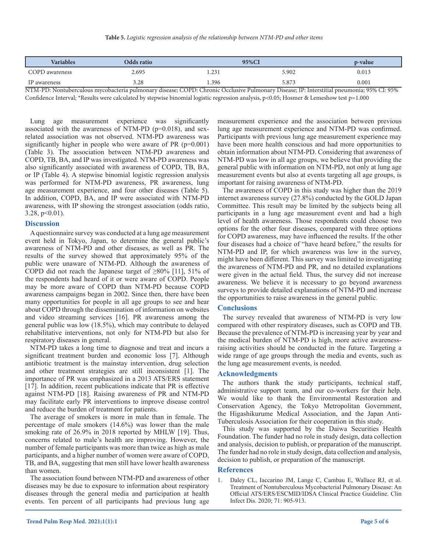| <b>Variables</b> | Odds ratio                                                                                                                                     | 95%Cl |       | p-value |  |
|------------------|------------------------------------------------------------------------------------------------------------------------------------------------|-------|-------|---------|--|
| COPD awareness   | 2.695                                                                                                                                          | l.231 | 5.902 | 0.013   |  |
| IP awareness     | 3.28                                                                                                                                           | .396  | 5.873 | 0.001   |  |
|                  | MTM DD. Mantuk angulawa mwaka stania mulmanamy diagoga: CODD, Chuania Ogalugiyya Dulmanamy Diagoga: ID: Internetitial magyarania: 050/ CL 050/ |       |       |         |  |

NTM-PD: Nontuberculous mycobacteria pulmonary disease; COPD: Chronic Occlusive Pulmonary Disease; IP: Interstitial pneumonia; 95% CI: 95% Confidence Interval; \*Results were calculated by stepwise binomial logistic regression analysis, p<0.05; Hosmer & Lemeshow test p=1.000

Lung age measurement experience was significantly associated with the awareness of NTM-PD ( $p=0.018$ ), and sexrelated association was not observed. NTM-PD awareness was significantly higher in people who were aware of PR (p=0.001) (Table 3). The association between NTM-PD awareness and COPD, TB, BA, and IP was investigated. NTM-PD awareness was also significantly associated with awareness of COPD, TB, BA, or IP (Table 4). A stepwise binomial logistic regression analysis was performed for NTM-PD awareness, PR awareness, lung age measurement experience, and four other diseases (Table 5). In addition, COPD, BA, and IP were associated with NTM-PD awareness, with IP showing the strongest association (odds ratio,  $3.28, p<0.01$ ).

#### **Discussion**

A questionnaire survey was conducted at a lung age measurement event held in Tokyo, Japan, to determine the general public's awareness of NTM-PD and other diseases, as well as PR. The results of the survey showed that approximately 95% of the public were unaware of NTM-PD. Although the awareness of COPD did not reach the Japanese target of ≥80% [11], 51% of the respondents had heard of it or were aware of COPD. People may be more aware of COPD than NTM-PD because COPD awareness campaigns began in 2002. Since then, there have been many opportunities for people in all age groups to see and hear about COPD through the dissemination of information on websites and video streaming services [16]. PR awareness among the general public was low (18.5%), which may contribute to delayed rehabilitative interventions, not only for NTM-PD but also for respiratory diseases in general.

NTM-PD takes a long time to diagnose and treat and incurs a significant treatment burden and economic loss [7]. Although antibiotic treatment is the mainstay intervention, drug selection and other treatment strategies are still inconsistent [1]. The importance of PR was emphasized in a 2013 ATS/ERS statement [17]. In addition, recent publications indicate that PR is effective against NTM-PD [18]. Raising awareness of PR and NTM-PD may facilitate early PR interventions to improve disease control and reduce the burden of treatment for patients.

The average of smokers is more in male than in female. The percentage of male smokers (14.6%) was lower than the male smoking rate of 26.9% in 2018 reported by MHLW [19]. Thus, concerns related to male's health are improving. However, the number of female participants was more than twice as high as male participants, and a higher number of women were aware of COPD, TB, and BA, suggesting that men still have lower health awareness than women.

The association found between NTM-PD and awareness of other diseases may be due to exposure to information about respiratory diseases through the general media and participation at health events. Ten percent of all participants had previous lung age

measurement experience and the association between previous lung age measurement experience and NTM-PD was confirmed. Participants with previous lung age measurement experience may have been more health conscious and had more opportunities to obtain information about NTM-PD. Considering that awareness of NTM-PD was low in all age groups, we believe that providing the general public with information on NTM-PD, not only at lung age measurement events but also at events targeting all age groups, is important for raising awareness of NTM-PD.

The awareness of COPD in this study was higher than the 2019 internet awareness survey (27.8%) conducted by the GOLD Japan Committee. This result may be limited by the subjects being all participants in a lung age measurement event and had a high level of health awareness. Those respondents could choose two options for the other four diseases, compared with three options for COPD awareness, may have influenced the results. If the other four diseases had a choice of "have heard before," the results for NTM-PD and IP, for which awareness was low in the survey, might have been different. This survey was limited to investigating the awareness of NTM-PD and PR, and no detailed explanations were given in the actual field. Thus, the survey did not increase awareness. We believe it is necessary to go beyond awareness surveys to provide detailed explanations of NTM-PD and increase the opportunities to raise awareness in the general public.

## **Conclusions**

The survey revealed that awareness of NTM-PD is very low compared with other respiratory diseases, such as COPD and TB. Because the prevalence of NTM-PD is increasing year by year and the medical burden of NTM-PD is high, more active awarenessraising activities should be conducted in the future. Targeting a wide range of age groups through the media and events, such as the lung age measurement events, is needed.

#### **Acknowledgments**

The authors thank the study participants, technical staff, administrative support team, and our co-workers for their help. We would like to thank the Environmental Restoration and Conservation Agency, the Tokyo Metropolitan Government, the Higashikurume Medical Association, and the Japan Anti-Tuberculosis Association for their cooperation in this study.

This study was supported by the Daiwa Securities Health Foundation. The funder had no role in study design, data collection and analysis, decision to publish, or preparation of the manuscript. The funder had no role in study design, data collection and analysis, decision to publish, or preparation of the manuscript.

#### **References**

1. Daley CL, Iaccarino JM, Lange C, Cambau E, Wallace RJ, et al. Treatment of Nontuberculous Mycobacterial Pulmonary Disease: An Official ATS/ERS/ESCMID/IDSA Clinical Practice Guideline. Clin Infect Dis. 2020; 71: 905-913.